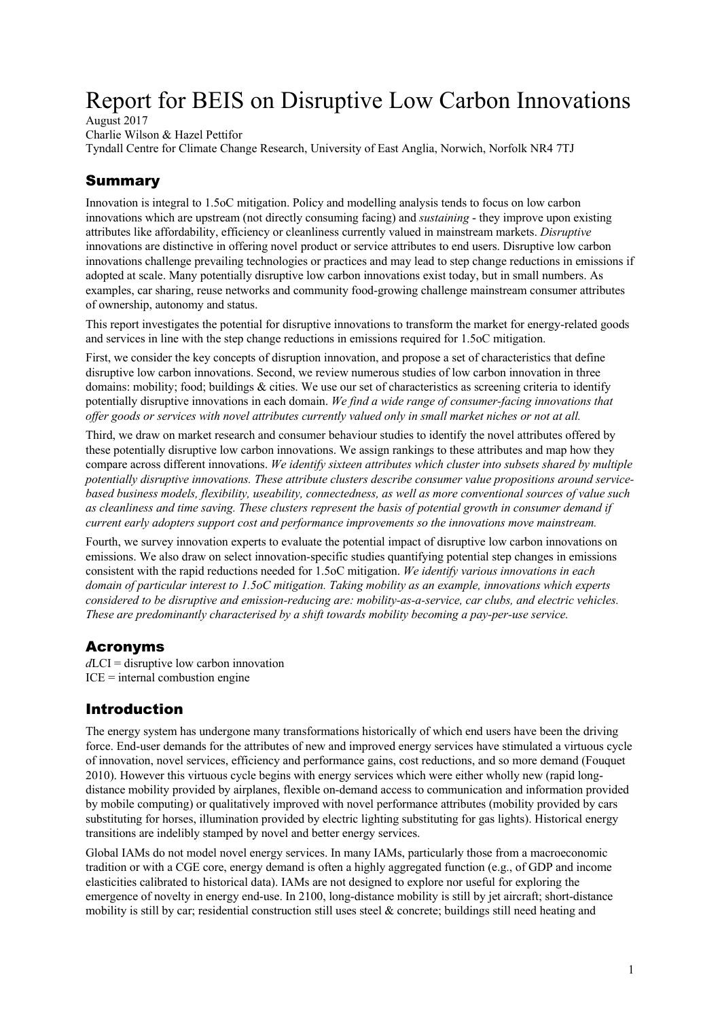# Report for BEIS on Disruptive Low Carbon Innovations

August 2017

Charlie Wilson & Hazel Pettifor

Tyndall Centre for Climate Change Research, University of East Anglia, Norwich, Norfolk NR4 7TJ

## Summary

Innovation is integral to 1.5oC mitigation. Policy and modelling analysis tends to focus on low carbon innovations which are upstream (not directly consuming facing) and *sustaining* - they improve upon existing attributes like affordability, efficiency or cleanliness currently valued in mainstream markets. *Disruptive* innovations are distinctive in offering novel product or service attributes to end users. Disruptive low carbon innovations challenge prevailing technologies or practices and may lead to step change reductions in emissions if adopted at scale. Many potentially disruptive low carbon innovations exist today, but in small numbers. As examples, car sharing, reuse networks and community food-growing challenge mainstream consumer attributes of ownership, autonomy and status.

This report investigates the potential for disruptive innovations to transform the market for energy-related goods and services in line with the step change reductions in emissions required for 1.5oC mitigation.

First, we consider the key concepts of disruption innovation, and propose a set of characteristics that define disruptive low carbon innovations. Second, we review numerous studies of low carbon innovation in three domains: mobility; food; buildings & cities. We use our set of characteristics as screening criteria to identify potentially disruptive innovations in each domain. *We find a wide range of consumer-facing innovations that offer goods or services with novel attributes currently valued only in small market niches or not at all.*

Third, we draw on market research and consumer behaviour studies to identify the novel attributes offered by these potentially disruptive low carbon innovations. We assign rankings to these attributes and map how they compare across different innovations. *We identify sixteen attributes which cluster into subsets shared by multiple potentially disruptive innovations. These attribute clusters describe consumer value propositions around servicebased business models, flexibility, useability, connectedness, as well as more conventional sources of value such as cleanliness and time saving. These clusters represent the basis of potential growth in consumer demand if current early adopters support cost and performance improvements so the innovations move mainstream.*

Fourth, we survey innovation experts to evaluate the potential impact of disruptive low carbon innovations on emissions. We also draw on select innovation-specific studies quantifying potential step changes in emissions consistent with the rapid reductions needed for 1.5oC mitigation. *We identify various innovations in each domain of particular interest to 1.5oC mitigation. Taking mobility as an example, innovations which experts considered to be disruptive and emission-reducing are: mobility-as-a-service, car clubs, and electric vehicles. These are predominantly characterised by a shift towards mobility becoming a pay-per-use service.*

## Acronyms

*d*LCI = disruptive low carbon innovation  $ICE = internal$  combustion engine

## Introduction

The energy system has undergone many transformations historically of which end users have been the driving force. End-user demands for the attributes of new and improved energy services have stimulated a virtuous cycle of innovation, novel services, efficiency and performance gains, cost reductions, and so more demand (Fouquet 2010). However this virtuous cycle begins with energy services which were either wholly new (rapid longdistance mobility provided by airplanes, flexible on-demand access to communication and information provided by mobile computing) or qualitatively improved with novel performance attributes (mobility provided by cars substituting for horses, illumination provided by electric lighting substituting for gas lights). Historical energy transitions are indelibly stamped by novel and better energy services.

Global IAMs do not model novel energy services. In many IAMs, particularly those from a macroeconomic tradition or with a CGE core, energy demand is often a highly aggregated function (e.g., of GDP and income elasticities calibrated to historical data). IAMs are not designed to explore nor useful for exploring the emergence of novelty in energy end-use. In 2100, long-distance mobility is still by jet aircraft; short-distance mobility is still by car; residential construction still uses steel & concrete; buildings still need heating and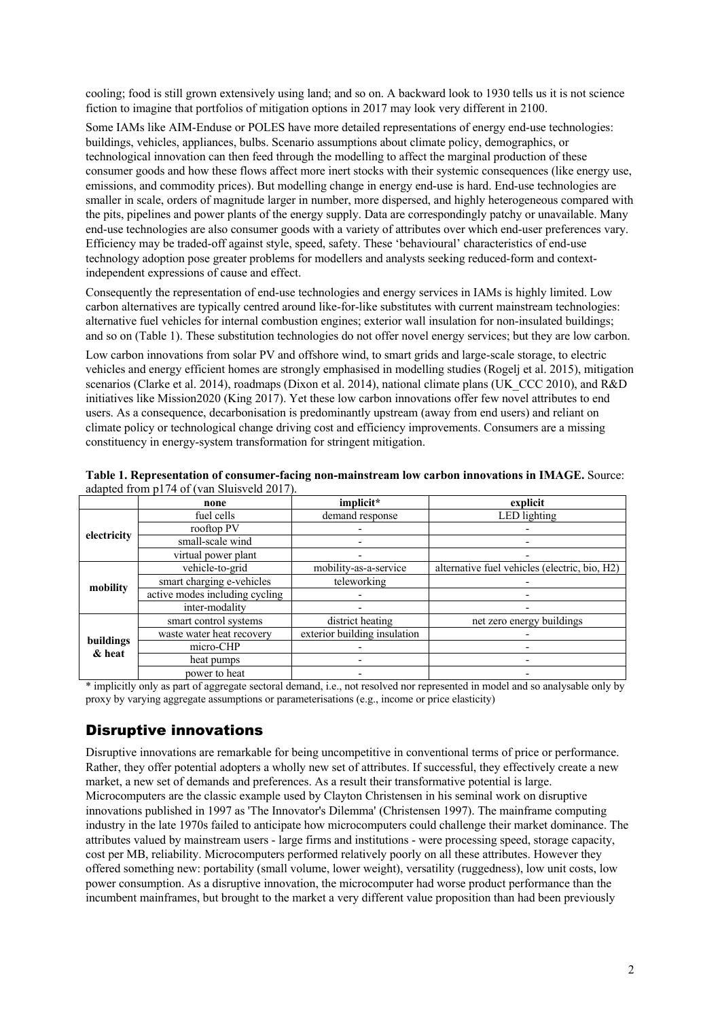cooling; food is still grown extensively using land; and so on. A backward look to 1930 tells us it is not science fiction to imagine that portfolios of mitigation options in 2017 may look very different in 2100.

Some IAMs like AIM-Enduse or POLES have more detailed representations of energy end-use technologies: buildings, vehicles, appliances, bulbs. Scenario assumptions about climate policy, demographics, or technological innovation can then feed through the modelling to affect the marginal production of these consumer goods and how these flows affect more inert stocks with their systemic consequences (like energy use, emissions, and commodity prices). But modelling change in energy end-use is hard. End-use technologies are smaller in scale, orders of magnitude larger in number, more dispersed, and highly heterogeneous compared with the pits, pipelines and power plants of the energy supply. Data are correspondingly patchy or unavailable. Many end-use technologies are also consumer goods with a variety of attributes over which end-user preferences vary. Efficiency may be traded-off against style, speed, safety. These 'behavioural' characteristics of end-use technology adoption pose greater problems for modellers and analysts seeking reduced-form and contextindependent expressions of cause and effect.

Consequently the representation of end-use technologies and energy services in IAMs is highly limited. Low carbon alternatives are typically centred around like-for-like substitutes with current mainstream technologies: alternative fuel vehicles for internal combustion engines; exterior wall insulation for non-insulated buildings; and so on (Table 1). These substitution technologies do not offer novel energy services; but they are low carbon.

Low carbon innovations from solar PV and offshore wind, to smart grids and large-scale storage, to electric vehicles and energy efficient homes are strongly emphasised in modelling studies (Rogelj et al. 2015), mitigation scenarios (Clarke et al. 2014), roadmaps (Dixon et al. 2014), national climate plans (UK\_CCC 2010), and R&D initiatives like Mission2020 (King 2017). Yet these low carbon innovations offer few novel attributes to end users. As a consequence, decarbonisation is predominantly upstream (away from end users) and reliant on climate policy or technological change driving cost and efficiency improvements. Consumers are a missing constituency in energy-system transformation for stringent mitigation.

|                     | none                           | implicit*                    | explicit                                      |  |  |  |  |
|---------------------|--------------------------------|------------------------------|-----------------------------------------------|--|--|--|--|
|                     | fuel cells                     | demand response              | LED lighting                                  |  |  |  |  |
|                     | rooftop PV                     |                              |                                               |  |  |  |  |
| electricity         | small-scale wind               |                              |                                               |  |  |  |  |
|                     | virtual power plant            |                              |                                               |  |  |  |  |
|                     | vehicle-to-grid                | mobility-as-a-service        | alternative fuel vehicles (electric, bio, H2) |  |  |  |  |
| mobility            | smart charging e-vehicles      | teleworking                  |                                               |  |  |  |  |
|                     | active modes including cycling |                              |                                               |  |  |  |  |
|                     | inter-modality                 |                              |                                               |  |  |  |  |
|                     | smart control systems          | district heating             | net zero energy buildings                     |  |  |  |  |
|                     | waste water heat recovery      | exterior building insulation |                                               |  |  |  |  |
| buildings<br>& heat | micro-CHP                      |                              |                                               |  |  |  |  |
|                     | heat pumps                     |                              |                                               |  |  |  |  |
|                     | power to heat                  |                              |                                               |  |  |  |  |

**Table 1. Representation of consumer-facing non-mainstream low carbon innovations in IMAGE.** Source: adapted from p174 of (van Sluisveld 2017).

\* implicitly only as part of aggregate sectoral demand, i.e., not resolved nor represented in model and so analysable only by proxy by varying aggregate assumptions or parameterisations (e.g., income or price elasticity)

## Disruptive innovations

Disruptive innovations are remarkable for being uncompetitive in conventional terms of price or performance. Rather, they offer potential adopters a wholly new set of attributes. If successful, they effectively create a new market, a new set of demands and preferences. As a result their transformative potential is large. Microcomputers are the classic example used by Clayton Christensen in his seminal work on disruptive innovations published in 1997 as 'The Innovator's Dilemma' (Christensen 1997). The mainframe computing industry in the late 1970s failed to anticipate how microcomputers could challenge their market dominance. The attributes valued by mainstream users - large firms and institutions - were processing speed, storage capacity, cost per MB, reliability. Microcomputers performed relatively poorly on all these attributes. However they offered something new: portability (small volume, lower weight), versatility (ruggedness), low unit costs, low power consumption. As a disruptive innovation, the microcomputer had worse product performance than the incumbent mainframes, but brought to the market a very different value proposition than had been previously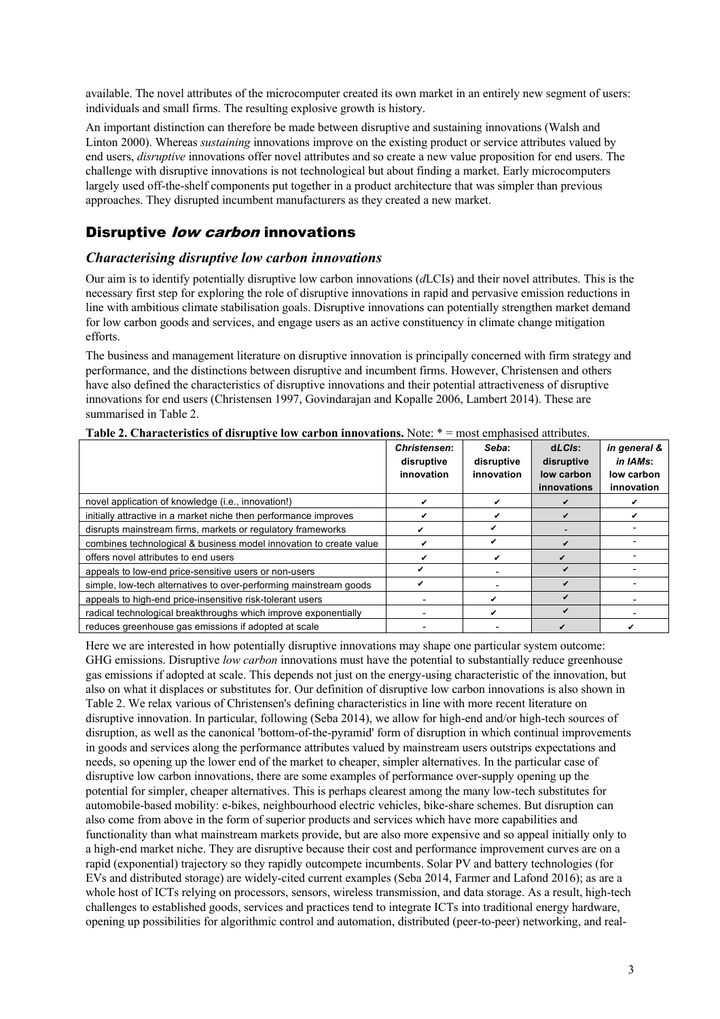available. The novel attributes of the microcomputer created its own market in an entirely new segment of users: individuals and small firms. The resulting explosive growth is history.

An important distinction can therefore be made between disruptive and sustaining innovations (Walsh and Linton 2000). Whereas *sustaining* innovations improve on the existing product or service attributes valued by end users, *disruptive* innovations offer novel attributes and so create a new value proposition for end users. The challenge with disruptive innovations is not technological but about finding a market. Early microcomputers largely used off-the-shelf components put together in a product architecture that was simpler than previous approaches. They disrupted incumbent manufacturers as they created a new market.

## Disruptive low carbon innovations

#### *Characterising disruptive low carbon innovations*

Our aim is to identify potentially disruptive low carbon innovations (*d*LCIs) and their novel attributes. This is the necessary first step for exploring the role of disruptive innovations in rapid and pervasive emission reductions in line with ambitious climate stabilisation goals. Disruptive innovations can potentially strengthen market demand for low carbon goods and services, and engage users as an active constituency in climate change mitigation efforts.

The business and management literature on disruptive innovation is principally concerned with firm strategy and performance, and the distinctions between disruptive and incumbent firms. However, Christensen and others have also defined the characteristics of disruptive innovations and their potential attractiveness of disruptive innovations for end users (Christensen 1997, Govindarajan and Kopalle 2006, Lambert 2014). These are summarised in Table 2.

|                                                                    | <b>Christensen:</b><br>disruptive<br>innovation | Seba:<br>disruptive<br>innovation | $dLCls$ :<br>disruptive<br>low carbon<br>innovations | in general &<br>in IAMs:<br>low carbon<br>innovation |
|--------------------------------------------------------------------|-------------------------------------------------|-----------------------------------|------------------------------------------------------|------------------------------------------------------|
| novel application of knowledge (i.e., innovation!)                 |                                                 |                                   |                                                      |                                                      |
| initially attractive in a market niche then performance improves   |                                                 |                                   |                                                      |                                                      |
| disrupts mainstream firms, markets or regulatory frameworks        |                                                 |                                   |                                                      |                                                      |
| combines technological & business model innovation to create value |                                                 |                                   |                                                      |                                                      |
| offers novel attributes to end users                               |                                                 |                                   |                                                      |                                                      |
| appeals to low-end price-sensitive users or non-users              |                                                 |                                   |                                                      |                                                      |
| simple, low-tech alternatives to over-performing mainstream goods  |                                                 |                                   |                                                      |                                                      |
| appeals to high-end price-insensitive risk-tolerant users          |                                                 |                                   |                                                      |                                                      |
| radical technological breakthroughs which improve exponentially    |                                                 |                                   |                                                      |                                                      |
| reduces greenhouse gas emissions if adopted at scale               |                                                 |                                   |                                                      |                                                      |

**Table 2. Characteristics of disruptive low carbon innovations.** Note: \* = most emphasised attributes.

Here we are interested in how potentially disruptive innovations may shape one particular system outcome: GHG emissions. Disruptive *low carbon* innovations must have the potential to substantially reduce greenhouse gas emissions if adopted at scale. This depends not just on the energy-using characteristic of the innovation, but also on what it displaces or substitutes for. Our definition of disruptive low carbon innovations is also shown in Table 2. We relax various of Christensen's defining characteristics in line with more recent literature on disruptive innovation. In particular, following (Seba 2014), we allow for high-end and/or high-tech sources of disruption, as well as the canonical 'bottom-of-the-pyramid' form of disruption in which continual improvements in goods and services along the performance attributes valued by mainstream users outstrips expectations and needs, so opening up the lower end of the market to cheaper, simpler alternatives. In the particular case of disruptive low carbon innovations, there are some examples of performance over-supply opening up the potential for simpler, cheaper alternatives. This is perhaps clearest among the many low-tech substitutes for automobile-based mobility: e-bikes, neighbourhood electric vehicles, bike-share schemes. But disruption can also come from above in the form of superior products and services which have more capabilities and functionality than what mainstream markets provide, but are also more expensive and so appeal initially only to a high-end market niche. They are disruptive because their cost and performance improvement curves are on a rapid (exponential) trajectory so they rapidly outcompete incumbents. Solar PV and battery technologies (for EVs and distributed storage) are widely-cited current examples (Seba 2014, Farmer and Lafond 2016); as are a whole host of ICTs relying on processors, sensors, wireless transmission, and data storage. As a result, high-tech challenges to established goods, services and practices tend to integrate ICTs into traditional energy hardware, opening up possibilities for algorithmic control and automation, distributed (peer-to-peer) networking, and real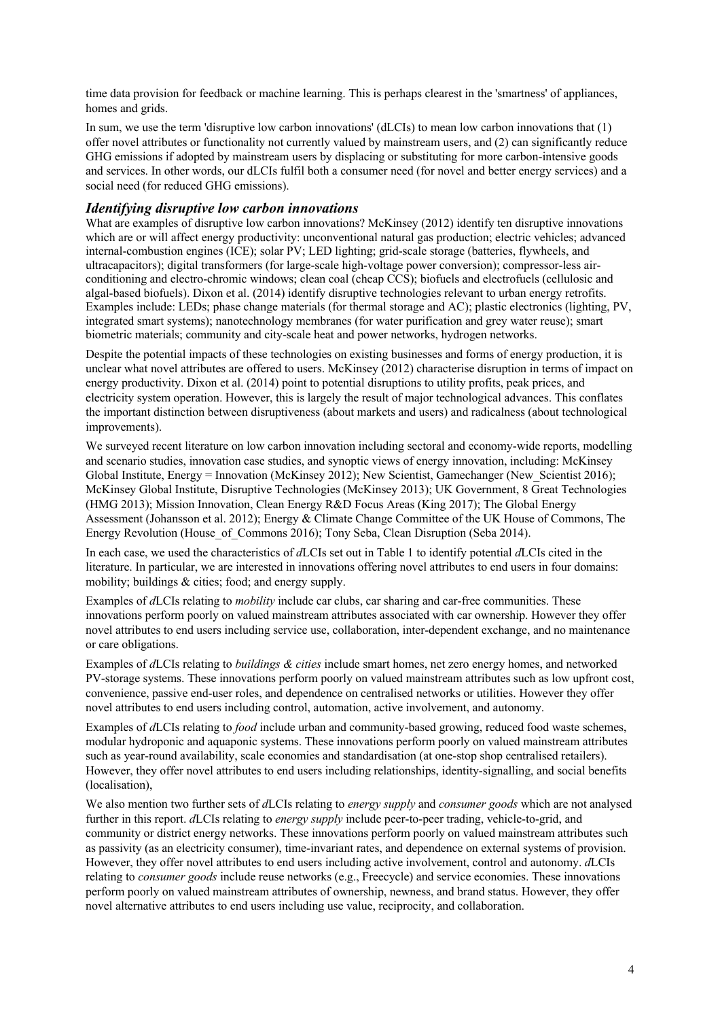time data provision for feedback or machine learning. This is perhaps clearest in the 'smartness' of appliances, homes and grids.

In sum, we use the term 'disruptive low carbon innovations' (dLCIs) to mean low carbon innovations that (1) offer novel attributes or functionality not currently valued by mainstream users, and (2) can significantly reduce GHG emissions if adopted by mainstream users by displacing or substituting for more carbon-intensive goods and services. In other words, our dLCIs fulfil both a consumer need (for novel and better energy services) and a social need (for reduced GHG emissions).

#### *Identifying disruptive low carbon innovations*

What are examples of disruptive low carbon innovations? McKinsey (2012) identify ten disruptive innovations which are or will affect energy productivity: unconventional natural gas production; electric vehicles; advanced internal-combustion engines (ICE); solar PV; LED lighting; grid-scale storage (batteries, flywheels, and ultracapacitors); digital transformers (for large-scale high-voltage power conversion); compressor-less airconditioning and electro-chromic windows; clean coal (cheap CCS); biofuels and electrofuels (cellulosic and algal-based biofuels). Dixon et al. (2014) identify disruptive technologies relevant to urban energy retrofits. Examples include: LEDs; phase change materials (for thermal storage and AC); plastic electronics (lighting, PV, integrated smart systems); nanotechnology membranes (for water purification and grey water reuse); smart biometric materials; community and city-scale heat and power networks, hydrogen networks.

Despite the potential impacts of these technologies on existing businesses and forms of energy production, it is unclear what novel attributes are offered to users. McKinsey (2012) characterise disruption in terms of impact on energy productivity. Dixon et al. (2014) point to potential disruptions to utility profits, peak prices, and electricity system operation. However, this is largely the result of major technological advances. This conflates the important distinction between disruptiveness (about markets and users) and radicalness (about technological improvements).

We surveyed recent literature on low carbon innovation including sectoral and economy-wide reports, modelling and scenario studies, innovation case studies, and synoptic views of energy innovation, including: McKinsey Global Institute, Energy = Innovation (McKinsey 2012); New Scientist, Gamechanger (New Scientist 2016); McKinsey Global Institute, Disruptive Technologies (McKinsey 2013); UK Government, 8 Great Technologies (HMG 2013); Mission Innovation, Clean Energy R&D Focus Areas (King 2017); The Global Energy Assessment (Johansson et al. 2012); Energy & Climate Change Committee of the UK House of Commons, The Energy Revolution (House\_of\_Commons 2016); Tony Seba, Clean Disruption (Seba 2014).

In each case, we used the characteristics of *d*LCIs set out in Table 1 to identify potential *d*LCIs cited in the literature. In particular, we are interested in innovations offering novel attributes to end users in four domains: mobility; buildings & cities; food; and energy supply.

Examples of *d*LCIs relating to *mobility* include car clubs, car sharing and car-free communities. These innovations perform poorly on valued mainstream attributes associated with car ownership. However they offer novel attributes to end users including service use, collaboration, inter-dependent exchange, and no maintenance or care obligations.

Examples of *d*LCIs relating to *buildings & cities* include smart homes, net zero energy homes, and networked PV-storage systems. These innovations perform poorly on valued mainstream attributes such as low upfront cost, convenience, passive end-user roles, and dependence on centralised networks or utilities. However they offer novel attributes to end users including control, automation, active involvement, and autonomy.

Examples of *d*LCIs relating to *food* include urban and community-based growing, reduced food waste schemes, modular hydroponic and aquaponic systems. These innovations perform poorly on valued mainstream attributes such as year-round availability, scale economies and standardisation (at one-stop shop centralised retailers). However, they offer novel attributes to end users including relationships, identity-signalling, and social benefits (localisation),

We also mention two further sets of *d*LCIs relating to *energy supply* and *consumer goods* which are not analysed further in this report. *d*LCIs relating to *energy supply* include peer-to-peer trading, vehicle-to-grid, and community or district energy networks. These innovations perform poorly on valued mainstream attributes such as passivity (as an electricity consumer), time-invariant rates, and dependence on external systems of provision. However, they offer novel attributes to end users including active involvement, control and autonomy. *d*LCIs relating to *consumer goods* include reuse networks (e.g., Freecycle) and service economies. These innovations perform poorly on valued mainstream attributes of ownership, newness, and brand status. However, they offer novel alternative attributes to end users including use value, reciprocity, and collaboration.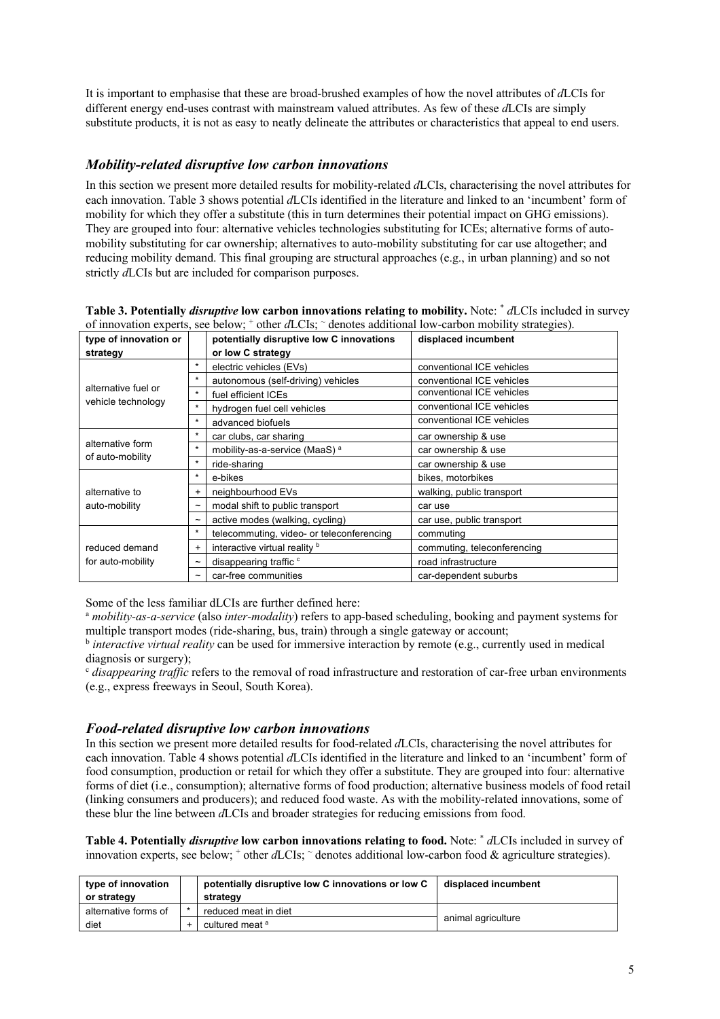It is important to emphasise that these are broad-brushed examples of how the novel attributes of *d*LCIs for different energy end-uses contrast with mainstream valued attributes. As few of these *d*LCIs are simply substitute products, it is not as easy to neatly delineate the attributes or characteristics that appeal to end users.

### *Mobility-related disruptive low carbon innovations*

In this section we present more detailed results for mobility-related *d*LCIs, characterising the novel attributes for each innovation. Table 3 shows potential *d*LCIs identified in the literature and linked to an 'incumbent' form of mobility for which they offer a substitute (this in turn determines their potential impact on GHG emissions). They are grouped into four: alternative vehicles technologies substituting for ICEs; alternative forms of automobility substituting for car ownership; alternatives to auto-mobility substituting for car use altogether; and reducing mobility demand. This final grouping are structural approaches (e.g., in urban planning) and so not strictly *d*LCIs but are included for comparison purposes.

| of innovation experts, see below; other aLCIs; denotes additional low-carbon mobility strategies). |                       |                                           |                             |  |  |  |  |  |
|----------------------------------------------------------------------------------------------------|-----------------------|-------------------------------------------|-----------------------------|--|--|--|--|--|
| type of innovation or                                                                              |                       | potentially disruptive low C innovations  | displaced incumbent         |  |  |  |  |  |
| strategy                                                                                           |                       | or low C strategy                         |                             |  |  |  |  |  |
| alternative fuel or<br>vehicle technology                                                          | $\star$               | electric vehicles (EVs)                   | conventional ICE vehicles   |  |  |  |  |  |
|                                                                                                    | $\star$               | autonomous (self-driving) vehicles        | conventional ICE vehicles   |  |  |  |  |  |
|                                                                                                    | $\star$               | fuel efficient ICEs                       | conventional ICE vehicles   |  |  |  |  |  |
|                                                                                                    | $\star$               | hydrogen fuel cell vehicles               | conventional ICE vehicles   |  |  |  |  |  |
|                                                                                                    | $\star$               | advanced biofuels                         | conventional ICE vehicles   |  |  |  |  |  |
| alternative form                                                                                   | $\star$               | car clubs, car sharing                    | car ownership & use         |  |  |  |  |  |
|                                                                                                    | $\star$               | mobility-as-a-service (MaaS) <sup>a</sup> | car ownership & use         |  |  |  |  |  |
| of auto-mobility                                                                                   | $\star$               | ride-sharing                              | car ownership & use         |  |  |  |  |  |
|                                                                                                    | $\star$               | e-bikes                                   | bikes, motorbikes           |  |  |  |  |  |
| alternative to                                                                                     | $\ddot{}$             | neighbourhood EVs                         | walking, public transport   |  |  |  |  |  |
| auto-mobility                                                                                      | $\tilde{}$            | modal shift to public transport           | car use                     |  |  |  |  |  |
|                                                                                                    | $\tilde{}$            | active modes (walking, cycling)           | car use, public transport   |  |  |  |  |  |
|                                                                                                    | $\star$               | telecommuting, video- or teleconferencing | commuting                   |  |  |  |  |  |
| reduced demand                                                                                     | $\ddot{}$             | interactive virtual reality b             | commuting, teleconferencing |  |  |  |  |  |
| for auto-mobility                                                                                  | $\tilde{}$            | disappearing traffic <sup>c</sup>         | road infrastructure         |  |  |  |  |  |
|                                                                                                    | $\tilde{\phantom{a}}$ | car-free communities                      | car-dependent suburbs       |  |  |  |  |  |

**Table 3. Potentially** *disruptive* **low carbon innovations relating to mobility.** Note: \* *d*LCIs included in survey of innovation experts, see below; + other *d*LCIs; ~ denotes additional low-carbon mobility strategies).

Some of the less familiar dLCIs are further defined here:

<sup>a</sup> *mobility-as-a-service* (also *inter-modality*) refers to app-based scheduling, booking and payment systems for multiple transport modes (ride-sharing, bus, train) through a single gateway or account;

<sup>b</sup> *interactive virtual reality* can be used for immersive interaction by remote (e.g., currently used in medical diagnosis or surgery);

<sup>c</sup> *disappearing traffic* refers to the removal of road infrastructure and restoration of car-free urban environments (e.g., express freeways in Seoul, South Korea).

#### *Food-related disruptive low carbon innovations*

In this section we present more detailed results for food-related *d*LCIs, characterising the novel attributes for each innovation. Table 4 shows potential *d*LCIs identified in the literature and linked to an 'incumbent' form of food consumption, production or retail for which they offer a substitute. They are grouped into four: alternative forms of diet (i.e., consumption); alternative forms of food production; alternative business models of food retail (linking consumers and producers); and reduced food waste. As with the mobility-related innovations, some of these blur the line between *d*LCIs and broader strategies for reducing emissions from food.

**Table 4. Potentially** *disruptive* **low carbon innovations relating to food.** Note: \* *d*LCIs included in survey of innovation experts, see below; + other *d*LCIs; ~ denotes additional low-carbon food & agriculture strategies).

| type of innovation<br>or strategy | potentially disruptive low C innovations or low C<br>strategy | displaced incumbent |
|-----------------------------------|---------------------------------------------------------------|---------------------|
| alternative forms of              | reduced meat in diet                                          |                     |
| diet                              | cultured meat <sup>a</sup>                                    | animal agriculture  |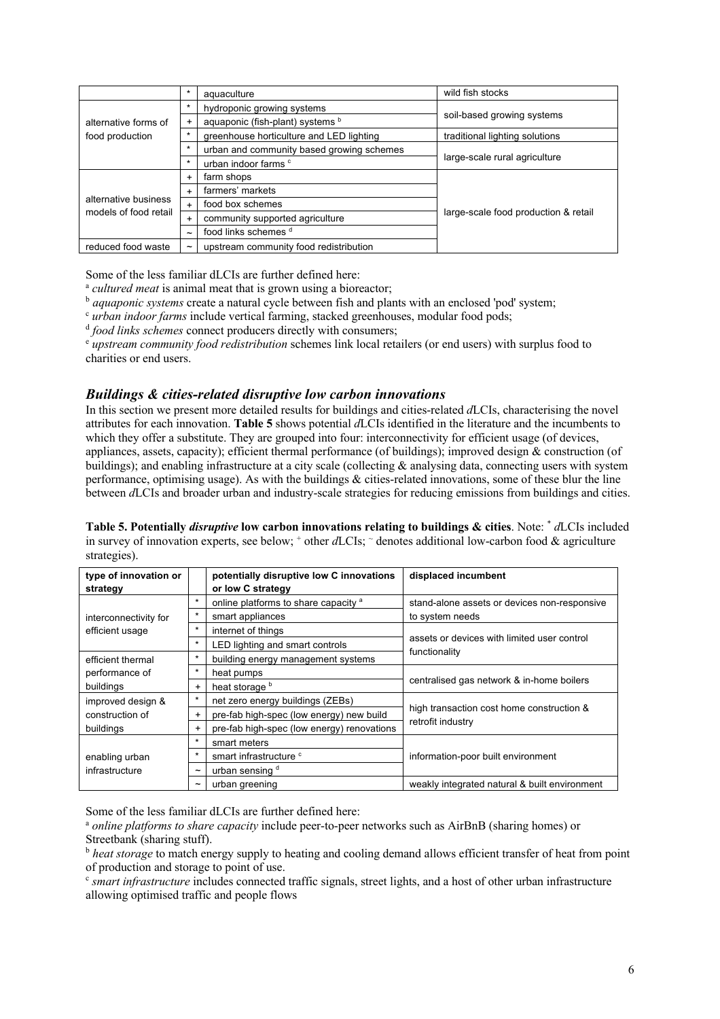|                       | $\star$    | aquaculture                               | wild fish stocks                     |  |  |  |  |  |
|-----------------------|------------|-------------------------------------------|--------------------------------------|--|--|--|--|--|
|                       | $\star$    | hydroponic growing systems                |                                      |  |  |  |  |  |
| alternative forms of  |            | aquaponic (fish-plant) systems b          | soil-based growing systems           |  |  |  |  |  |
| food production       | $\star$    | greenhouse horticulture and LED lighting  | traditional lighting solutions       |  |  |  |  |  |
|                       | $\star$    | urban and community based growing schemes | large-scale rural agriculture        |  |  |  |  |  |
|                       | $\star$    | urban indoor farms <sup>c</sup>           |                                      |  |  |  |  |  |
|                       | $\ddot{}$  | farm shops                                |                                      |  |  |  |  |  |
|                       | $\ddot{}$  | farmers' markets                          |                                      |  |  |  |  |  |
| alternative business  | $\ddot{}$  | food box schemes                          |                                      |  |  |  |  |  |
| models of food retail | $\ddot{}$  | community supported agriculture           | large-scale food production & retail |  |  |  |  |  |
|                       | $\sim$     | food links schemes d                      |                                      |  |  |  |  |  |
| reduced food waste    | $\tilde{}$ | upstream community food redistribution    |                                      |  |  |  |  |  |

Some of the less familiar dLCIs are further defined here:

<sup>a</sup> *cultured meat* is animal meat that is grown using a bioreactor;

<sup>b</sup> *aquaponic systems* create a natural cycle between fish and plants with an enclosed 'pod' system;

<sup>c</sup> *urban indoor farms* include vertical farming, stacked greenhouses, modular food pods;

<sup>d</sup> *food links schemes* connect producers directly with consumers;

<sup>e</sup> *upstream community food redistribution* schemes link local retailers (or end users) with surplus food to charities or end users.

#### *Buildings & cities-related disruptive low carbon innovations*

In this section we present more detailed results for buildings and cities-related *d*LCIs, characterising the novel attributes for each innovation. **Table 5** shows potential *d*LCIs identified in the literature and the incumbents to which they offer a substitute. They are grouped into four: interconnectivity for efficient usage (of devices, appliances, assets, capacity); efficient thermal performance (of buildings); improved design & construction (of buildings); and enabling infrastructure at a city scale (collecting  $\&$  analysing data, connecting users with system performance, optimising usage). As with the buildings & cities-related innovations, some of these blur the line between *d*LCIs and broader urban and industry-scale strategies for reducing emissions from buildings and cities.

**Table 5. Potentially** *disruptive* **low carbon innovations relating to buildings & cities**. Note: \* *d*LCIs included in survey of innovation experts, see below;  $^+$  other *d*LCIs;  $\degree$  denotes additional low-carbon food & agriculture strategies).

| type of innovation or<br>strategy |            | potentially disruptive low C innovations<br>or low C strategy | displaced incumbent                           |  |  |  |  |  |
|-----------------------------------|------------|---------------------------------------------------------------|-----------------------------------------------|--|--|--|--|--|
|                                   | $\star$    | online platforms to share capacity <sup>a</sup>               | stand-alone assets or devices non-responsive  |  |  |  |  |  |
| interconnectivity for             | $\star$    | smart appliances                                              | to system needs                               |  |  |  |  |  |
| efficient usage                   | $\star$    | internet of things                                            |                                               |  |  |  |  |  |
|                                   | $\star$    | LED lighting and smart controls                               | assets or devices with limited user control   |  |  |  |  |  |
| efficient thermal                 | $\star$    | building energy management systems                            | functionality                                 |  |  |  |  |  |
| performance of                    | $\star$    | heat pumps                                                    |                                               |  |  |  |  |  |
| buildings                         | $\ddot{}$  | heat storage b                                                | centralised gas network & in-home boilers     |  |  |  |  |  |
| improved design &                 | $\star$    | net zero energy buildings (ZEBs)                              |                                               |  |  |  |  |  |
| construction of                   | $\ddot{}$  | pre-fab high-spec (low energy) new build                      | high transaction cost home construction &     |  |  |  |  |  |
| buildings                         | $\ddot{}$  | pre-fab high-spec (low energy) renovations                    | retrofit industry                             |  |  |  |  |  |
|                                   | $\star$    | smart meters                                                  |                                               |  |  |  |  |  |
| enabling urban                    | $\star$    | smart infrastructure <sup>c</sup>                             | information-poor built environment            |  |  |  |  |  |
| infrastructure                    | $\tilde{}$ | urban sensing d                                               |                                               |  |  |  |  |  |
|                                   | $\tilde{}$ | urban greening                                                | weakly integrated natural & built environment |  |  |  |  |  |

Some of the less familiar dLCIs are further defined here:

<sup>a</sup> *online platforms to share capacity* include peer-to-peer networks such as AirBnB (sharing homes) or Streetbank (sharing stuff).

<sup>b</sup> heat storage to match energy supply to heating and cooling demand allows efficient transfer of heat from point of production and storage to point of use.

<sup>c</sup> smart infrastructure includes connected traffic signals, street lights, and a host of other urban infrastructure allowing optimised traffic and people flows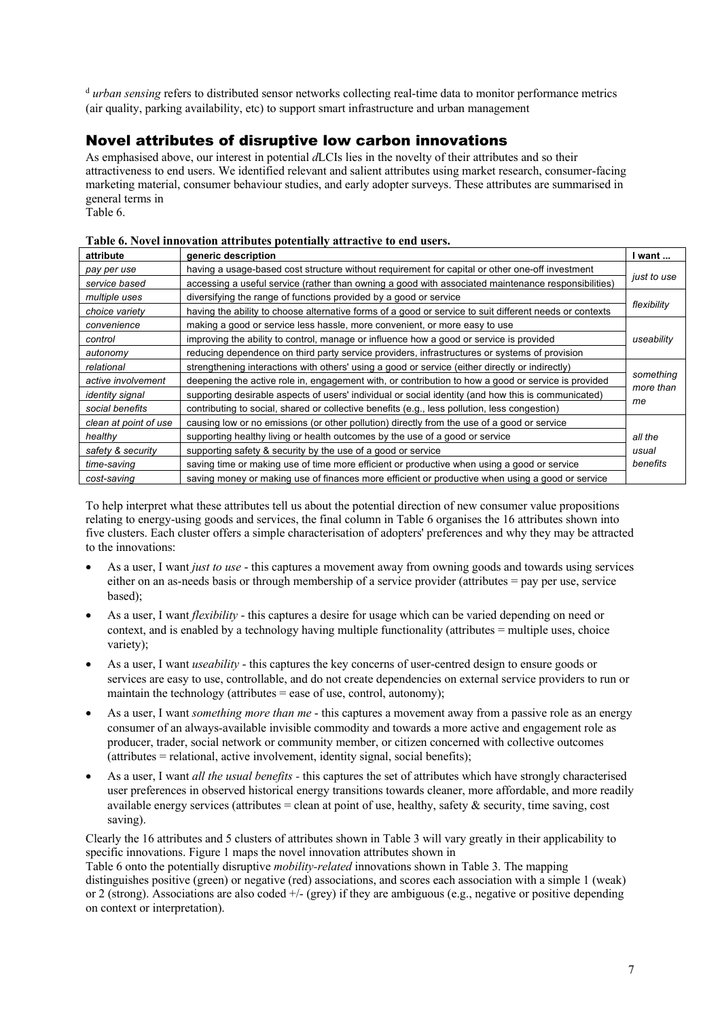<sup>d</sup> urban sensing refers to distributed sensor networks collecting real-time data to monitor performance metrics (air quality, parking availability, etc) to support smart infrastructure and urban management

## Novel attributes of disruptive low carbon innovations

As emphasised above, our interest in potential *d*LCIs lies in the novelty of their attributes and so their attractiveness to end users. We identified relevant and salient attributes using market research, consumer-facing marketing material, consumer behaviour studies, and early adopter surveys. These attributes are summarised in general terms in

Table 6.

| attribute              | generic description                                                                                     | I want      |
|------------------------|---------------------------------------------------------------------------------------------------------|-------------|
| pay per use            | having a usage-based cost structure without requirement for capital or other one-off investment         |             |
| service based          | accessing a useful service (rather than owning a good with associated maintenance responsibilities)     | just to use |
| multiple uses          | diversifying the range of functions provided by a good or service                                       |             |
| choice variety         | having the ability to choose alternative forms of a good or service to suit different needs or contexts | flexibility |
| convenience            | making a good or service less hassle, more convenient, or more easy to use                              |             |
| control                | improving the ability to control, manage or influence how a good or service is provided                 | useability  |
| autonomy               | reducing dependence on third party service providers, infrastructures or systems of provision           |             |
| relational             | strengthening interactions with others' using a good or service (either directly or indirectly)         |             |
| active involvement     | deepening the active role in, engagement with, or contribution to how a good or service is provided     | something   |
| <i>identity signal</i> | supporting desirable aspects of users' individual or social identity (and how this is communicated)     | more than   |
| social benefits        | contributing to social, shared or collective benefits (e.g., less pollution, less congestion)           | me          |
| clean at point of use  | causing low or no emissions (or other pollution) directly from the use of a good or service             |             |
| healthy                | supporting healthy living or health outcomes by the use of a good or service                            | all the     |
| safety & security      | supporting safety & security by the use of a good or service                                            | usual       |
| time-saving            | saving time or making use of time more efficient or productive when using a good or service             | benefits    |
| cost-saving            | saving money or making use of finances more efficient or productive when using a good or service        |             |

#### **Table 6. Novel innovation attributes potentially attractive to end users.**

To help interpret what these attributes tell us about the potential direction of new consumer value propositions relating to energy-using goods and services, the final column in Table 6 organises the 16 attributes shown into five clusters. Each cluster offers a simple characterisation of adopters' preferences and why they may be attracted to the innovations:

- As a user, I want *just to use* this captures a movement away from owning goods and towards using services either on an as-needs basis or through membership of a service provider (attributes = pay per use, service based);
- As a user, I want *flexibility* this captures a desire for usage which can be varied depending on need or context, and is enabled by a technology having multiple functionality (attributes = multiple uses, choice variety);
- As a user, I want *useability* this captures the key concerns of user-centred design to ensure goods or services are easy to use, controllable, and do not create dependencies on external service providers to run or maintain the technology (attributes  $=$  ease of use, control, autonomy);
- As a user, I want *something more than me* this captures a movement away from a passive role as an energy consumer of an always-available invisible commodity and towards a more active and engagement role as producer, trader, social network or community member, or citizen concerned with collective outcomes  $(\text{attributes} = \text{relational}, \text{active involvement}, \text{identity signal}, \text{social benefits})$ ;
- As a user, I want *all the usual benefits -* this captures the set of attributes which have strongly characterised user preferences in observed historical energy transitions towards cleaner, more affordable, and more readily available energy services (attributes = clean at point of use, healthy, safety & security, time saving, cost saving).

Clearly the 16 attributes and 5 clusters of attributes shown in Table 3 will vary greatly in their applicability to specific innovations. Figure 1 maps the novel innovation attributes shown in

Table 6 onto the potentially disruptive *mobility-related* innovations shown in Table 3. The mapping distinguishes positive (green) or negative (red) associations, and scores each association with a simple 1 (weak) or 2 (strong). Associations are also coded  $+/-$  (grey) if they are ambiguous (e.g., negative or positive depending on context or interpretation).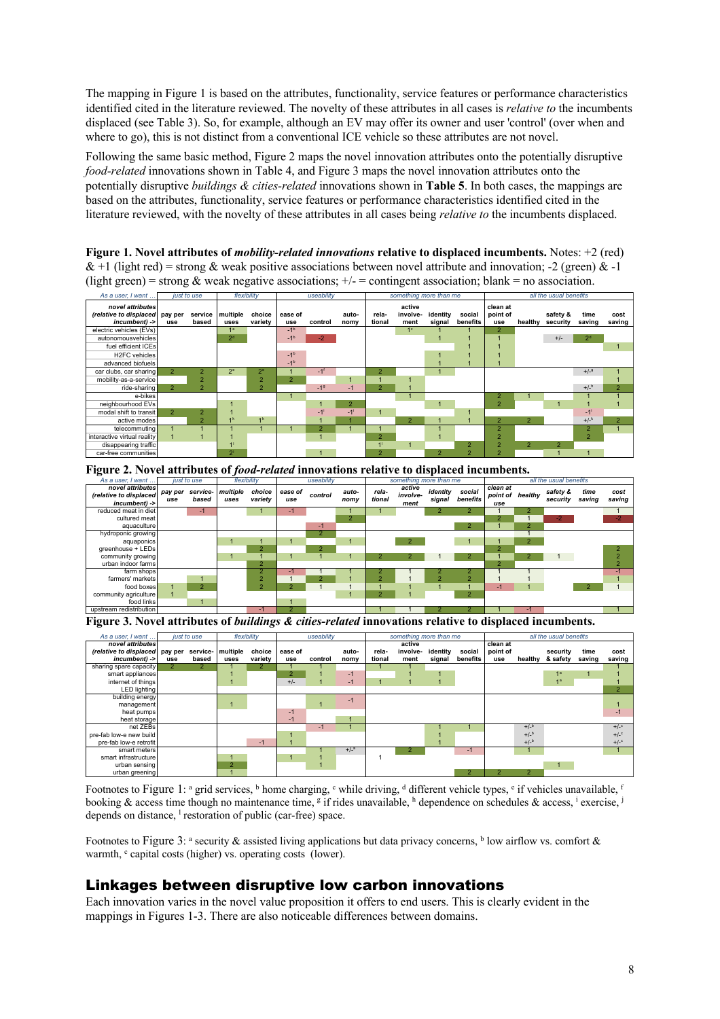The mapping in Figure 1 is based on the attributes, functionality, service features or performance characteristics identified cited in the literature reviewed. The novelty of these attributes in all cases is *relative to* the incumbents displaced (see Table 3). So, for example, although an EV may offer its owner and user 'control' (over when and where to go), this is not distinct from a conventional ICE vehicle so these attributes are not novel.

Following the same basic method, Figure 2 maps the novel innovation attributes onto the potentially disruptive *food-related* innovations shown in Table 4, and Figure 3 maps the novel innovation attributes onto the potentially disruptive *buildings & cities-related* innovations shown in **Table 5**. In both cases, the mappings are based on the attributes, functionality, service features or performance characteristics identified cited in the literature reviewed, with the novelty of these attributes in all cases being *relative to* the incumbents displaced.

**Figure 1. Novel attributes of** *mobility-related innovations* **relative to displaced incumbents.** Notes: +2 (red) & +1 (light red) = strong & weak positive associations between novel attribute and innovation; -2 (green) & -1 (light green) = strong & weak negative associations;  $+/-$  = contingent association; blank = no association.

| As a user. I want                                            |                | just to use      | flexibility      |                   | useability     |                   |                   | something more than me |                            |                    |                    | all the usual benefits      |                |                      |                    |                |
|--------------------------------------------------------------|----------------|------------------|------------------|-------------------|----------------|-------------------|-------------------|------------------------|----------------------------|--------------------|--------------------|-----------------------------|----------------|----------------------|--------------------|----------------|
| novel attributes<br>(relative to displaced)<br>incumbent) -> | pay per<br>use | service<br>based | multiple<br>uses | choice<br>variety | ease of<br>use | control           | auto-<br>nomy     | rela-<br>tional        | active<br>involve-<br>ment | identity<br>signal | social<br>benefits | clean at<br>point of<br>use | healthy        | safety &<br>security | time<br>saving     | cost<br>saving |
| electric vehicles (EVs)                                      |                |                  | 18               |                   | $-1b$          |                   |                   |                        | 1 <sup>c</sup>             |                    |                    | $\overline{2}$              |                |                      |                    |                |
| autonomousvehicles                                           |                |                  | 2 <sup>d</sup>   |                   | $-1b$          | $-2$              |                   |                        |                            |                    |                    |                             |                | $+/-$                | 2 <sup>d</sup>     |                |
| fuel efficient ICEs                                          |                |                  |                  |                   |                |                   |                   |                        |                            |                    |                    |                             |                |                      |                    |                |
| H <sub>2</sub> FC vehicles                                   |                |                  |                  |                   | $-1b$          |                   |                   |                        |                            |                    |                    |                             |                |                      |                    |                |
| advanced biofuels                                            |                |                  |                  |                   | $-1b$          |                   |                   |                        |                            |                    |                    |                             |                |                      |                    |                |
| car clubs, car sharing                                       | $\overline{2}$ | $\overline{2}$   | 2 <sup>e</sup>   | $2^e$             |                | $-1$              |                   | $\overline{2}$         |                            |                    |                    |                             |                |                      | $+/-9$             |                |
| mobility-as-a-service                                        |                | $\overline{2}$   |                  | $\overline{2}$    | $\overline{2}$ |                   |                   |                        |                            |                    |                    |                             |                |                      |                    |                |
| ride-sharing                                                 | $\overline{2}$ | $\overline{2}$   |                  | $\overline{2}$    |                | $-19$             | $-1$              | $\overline{2}$         |                            |                    |                    |                             |                |                      | $+/-$ <sup>h</sup> | $\overline{2}$ |
| e-bikes                                                      |                |                  |                  |                   |                |                   |                   |                        |                            |                    |                    | $\overline{2}$              |                |                      |                    |                |
| neighbourhood EVs                                            |                |                  |                  |                   |                |                   | $\overline{2}$    |                        |                            |                    |                    | $\overline{2}$              |                |                      |                    |                |
| modal shift to transit                                       | 2 <sup>1</sup> | $\overline{2}$   |                  |                   |                | $-1$ <sup>1</sup> | $-1$ <sup>i</sup> | $\overline{1}$         |                            |                    | $\overline{A}$     |                             |                |                      | $-1$ <sup>1</sup>  |                |
| active modes                                                 |                | $\overline{2}$   | 4 K              | 1 <sup>k</sup>    |                |                   | 1                 |                        | $\overline{2}$             |                    |                    | $\overline{2}$              | $\overline{2}$ |                      | $+/-^{k}$          | $\overline{2}$ |
| telecommuting                                                |                |                  |                  |                   |                | $\overline{2}$    |                   |                        |                            |                    |                    | $\overline{2}$              |                |                      | $\overline{2}$     |                |
| interactive virtual reality                                  |                |                  |                  |                   |                |                   |                   | $\overline{2}$         |                            |                    |                    | $\overline{2}$              |                |                      | $\overline{2}$     |                |
| disappearing traffic                                         |                |                  |                  |                   |                |                   |                   | 4 <sup>1</sup>         | и                          |                    | $\overline{2}$     | $\overline{2}$              | $\overline{2}$ | $\overline{2}$       |                    |                |
| car-free communities                                         |                |                  | 2 <sup>1</sup>   |                   |                |                   |                   | $\overline{2}$         |                            | $\overline{2}$     | $\overline{2}$     | $\overline{2}$              |                |                      |                    |                |

|                                                             | 1 igure 21 ro een ammonies of joon realien milo entrolls related to displaced incumbents. |                   |                  |                   |                |                       |                |                 |                            |                    |                    |                                     |                |                      |                |                |
|-------------------------------------------------------------|-------------------------------------------------------------------------------------------|-------------------|------------------|-------------------|----------------|-----------------------|----------------|-----------------|----------------------------|--------------------|--------------------|-------------------------------------|----------------|----------------------|----------------|----------------|
| As a user. I want                                           |                                                                                           | just to use       |                  | flexibility       |                | useability            |                |                 | something more than me     |                    |                    | all the usual benefits              |                |                      |                |                |
| novel attributes<br>(relative to displaced<br>incumbent) -> | pay per<br>use                                                                            | service-<br>based | multiple<br>uses | choice<br>variety | ease of<br>use | control               | auto-<br>nomy  | rela-<br>tional | active<br>involve-<br>ment | identity<br>signal | social<br>benefits | clean at<br>point of healthy<br>use |                | safety &<br>security | time<br>saving | cost<br>saving |
| reduced meat in diet                                        |                                                                                           | $-1$              |                  |                   | -1             |                       |                |                 |                            |                    | $\overline{2}$     |                                     |                |                      |                |                |
| cultured meat                                               |                                                                                           |                   |                  |                   |                |                       | $\overline{2}$ |                 |                            |                    |                    | $\overline{2}$                      |                | $-2$                 |                | $-2$           |
| aquaculture                                                 |                                                                                           |                   |                  |                   |                | $-1$                  |                |                 |                            |                    | $\overline{2}$     |                                     | $\overline{2}$ |                      |                |                |
| hydroponic growing                                          |                                                                                           |                   |                  |                   |                | $\overline{2}$        |                |                 |                            |                    |                    |                                     |                |                      |                |                |
| aquaponics                                                  |                                                                                           |                   |                  |                   |                |                       |                |                 | $\overline{2}$             |                    |                    |                                     | $\overline{2}$ |                      |                |                |
| greenhouse + LEDs                                           |                                                                                           |                   |                  | $\overline{2}$    |                | $\overline{2}$        |                |                 |                            |                    |                    | $\overline{2}$                      |                |                      |                | $\overline{2}$ |
| community growing                                           |                                                                                           |                   |                  |                   |                |                       |                | $\overline{2}$  | 2                          |                    | $\overline{2}$     |                                     | $\overline{2}$ |                      |                |                |
| urban indoor farms                                          |                                                                                           |                   |                  | $\overline{2}$    |                |                       |                |                 |                            |                    |                    | $\overline{a}$                      |                |                      |                | $\overline{2}$ |
| farm shops                                                  |                                                                                           |                   |                  | 2                 | -1             |                       |                |                 |                            |                    |                    |                                     |                |                      |                | $-1$           |
| farmers' markets                                            |                                                                                           |                   |                  | $\overline{ }$    |                | $\mathbf{2}^{\prime}$ |                | $\overline{2}$  |                            |                    | $\overline{2}$     |                                     |                |                      |                |                |
| food boxes                                                  |                                                                                           | $\overline{2}$    |                  | $\overline{2}$    | $\overline{2}$ |                       |                |                 |                            |                    |                    | $-1$                                |                |                      | $\overline{2}$ |                |
| community agriculture                                       |                                                                                           |                   |                  |                   |                |                       |                | $\overline{2}$  |                            |                    | $\overline{2}$     |                                     |                |                      |                |                |
| food links                                                  |                                                                                           |                   |                  |                   |                |                       |                |                 |                            |                    |                    |                                     |                |                      |                |                |
| upstream redistribution                                     |                                                                                           |                   |                  | -1                |                |                       |                |                 |                            |                    |                    |                                     |                |                      |                |                |

**Figure 2. Novel attributes of** *food-related* **innovations relative to displaced incumbents.**

**Figure 3. Novel attributes of** *buildings & cities-related* **innovations relative to displaced incumbents.**

| As a user. I want       |         | just to use |                | flexibility |                | useability |        |        | something more than me |          |                | all the usual benefits |           |                |        |                |
|-------------------------|---------|-------------|----------------|-------------|----------------|------------|--------|--------|------------------------|----------|----------------|------------------------|-----------|----------------|--------|----------------|
| novel attributes        |         |             |                |             |                |            |        |        | active                 |          |                | clean at               |           |                |        |                |
| (relative to displaced) | pay per | service-    | multiple       | choice      | ease of        |            | auto-  | rela-  | involve-               | identity | social         | point of               |           | security       | time   | cost           |
| incumbent) ->           | use     | based       | uses           | variety     | use            | control    | nomy   | tional | ment                   | signal   | benefits       | use                    | healthy   | & safety       | saving | saving         |
| sharing spare capacity  |         | 2           |                |             |                |            |        |        |                        |          |                |                        |           |                |        |                |
| smart appliances        |         |             |                |             | $\overline{2}$ |            | $-1$   |        |                        |          |                |                        |           | 1 <sup>a</sup> |        |                |
| internet of things      |         |             |                |             | $+/-$          |            | $-1$   |        |                        |          |                |                        |           | 1 <sup>a</sup> |        |                |
| LED lighting            |         |             |                |             |                |            |        |        |                        |          |                |                        |           |                |        | $\overline{2}$ |
| building energy         |         |             |                |             |                |            | $-1$   |        |                        |          |                |                        |           |                |        |                |
| management              |         |             |                |             |                |            |        |        |                        |          |                |                        |           |                |        |                |
| heat pumps              |         |             |                |             | $-1$           |            |        |        |                        |          |                |                        |           |                |        | -1             |
| heat storage            |         |             |                |             | $-1$           |            |        |        |                        |          |                |                        |           |                |        |                |
| net ZEBs                |         |             |                |             |                | $-1$       |        |        |                        |          |                |                        | $+/-^{b}$ |                |        | $+/-$          |
| pre-fab low-e new build |         |             |                |             |                |            |        |        |                        |          |                |                        | $+/-^{b}$ |                |        | $+/-$          |
| pre-fab low-e retrofit  |         |             |                | $-1$        |                |            |        |        |                        |          |                |                        | $+/-^{b}$ |                |        | $+/-$          |
| smart meters            |         |             |                |             |                |            | $+/-3$ |        |                        |          | $-1$           |                        |           |                |        |                |
| smart infrastructure    |         |             |                |             |                |            |        |        |                        |          |                |                        |           |                |        |                |
| urban sensing           |         |             | $\overline{2}$ |             |                |            |        |        |                        |          |                |                        |           |                |        |                |
| urban greening          |         |             |                |             |                |            |        |        |                        |          | $\overline{2}$ | $\overline{2}$         | 2         |                |        |                |

Footnotes to Figure 1: <sup>a</sup> grid services, <sup>b</sup> home charging, <sup>c</sup> while driving, <sup>d</sup> different vehicle types, <sup>e</sup> if vehicles unavailable, <sup>f</sup> booking & access time though no maintenance time, <sup>g</sup> if rides unavailable, h dependence on schedules & access, i exercise, i depends on distance, <sup>1</sup> restoration of public (car-free) space.

Footnotes to Figure 3: <sup>a</sup> security  $\&$  assisted living applications but data privacy concerns, <sup>b</sup> low airflow vs. comfort  $\&$ warmth, <sup>c</sup> capital costs (higher) vs. operating costs (lower).

## Linkages between disruptive low carbon innovations

Each innovation varies in the novel value proposition it offers to end users. This is clearly evident in the mappings in Figures 1-3. There are also noticeable differences between domains.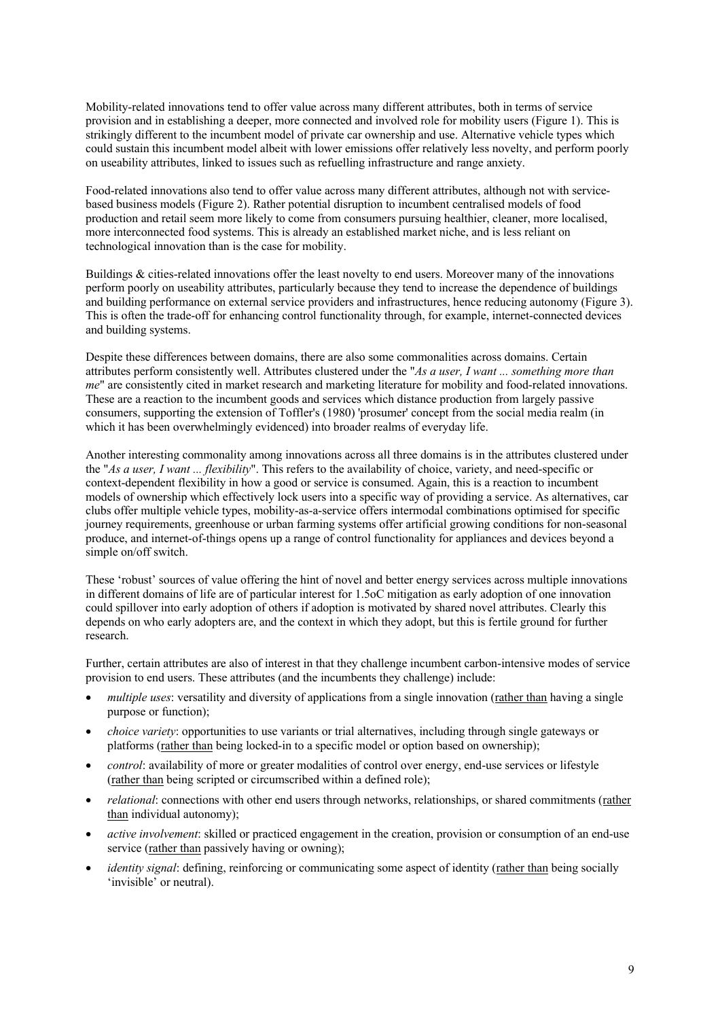Mobility-related innovations tend to offer value across many different attributes, both in terms of service provision and in establishing a deeper, more connected and involved role for mobility users (Figure 1). This is strikingly different to the incumbent model of private car ownership and use. Alternative vehicle types which could sustain this incumbent model albeit with lower emissions offer relatively less novelty, and perform poorly on useability attributes, linked to issues such as refuelling infrastructure and range anxiety.

Food-related innovations also tend to offer value across many different attributes, although not with servicebased business models (Figure 2). Rather potential disruption to incumbent centralised models of food production and retail seem more likely to come from consumers pursuing healthier, cleaner, more localised, more interconnected food systems. This is already an established market niche, and is less reliant on technological innovation than is the case for mobility.

Buildings & cities-related innovations offer the least novelty to end users. Moreover many of the innovations perform poorly on useability attributes, particularly because they tend to increase the dependence of buildings and building performance on external service providers and infrastructures, hence reducing autonomy (Figure 3). This is often the trade-off for enhancing control functionality through, for example, internet-connected devices and building systems.

Despite these differences between domains, there are also some commonalities across domains. Certain attributes perform consistently well. Attributes clustered under the "*As a user, I want ... something more than me*" are consistently cited in market research and marketing literature for mobility and food-related innovations. These are a reaction to the incumbent goods and services which distance production from largely passive consumers, supporting the extension of Toffler's (1980) 'prosumer' concept from the social media realm (in which it has been overwhelmingly evidenced) into broader realms of everyday life.

Another interesting commonality among innovations across all three domains is in the attributes clustered under the "*As a user, I want ... flexibility*". This refers to the availability of choice, variety, and need-specific or context-dependent flexibility in how a good or service is consumed. Again, this is a reaction to incumbent models of ownership which effectively lock users into a specific way of providing a service. As alternatives, car clubs offer multiple vehicle types, mobility-as-a-service offers intermodal combinations optimised for specific journey requirements, greenhouse or urban farming systems offer artificial growing conditions for non-seasonal produce, and internet-of-things opens up a range of control functionality for appliances and devices beyond a simple on/off switch.

These 'robust' sources of value offering the hint of novel and better energy services across multiple innovations in different domains of life are of particular interest for 1.5oC mitigation as early adoption of one innovation could spillover into early adoption of others if adoption is motivated by shared novel attributes. Clearly this depends on who early adopters are, and the context in which they adopt, but this is fertile ground for further research.

Further, certain attributes are also of interest in that they challenge incumbent carbon-intensive modes of service provision to end users. These attributes (and the incumbents they challenge) include:

- *multiple uses*: versatility and diversity of applications from a single innovation (rather than having a single purpose or function);
- *choice variety*: opportunities to use variants or trial alternatives, including through single gateways or platforms (rather than being locked-in to a specific model or option based on ownership);
- *control*: availability of more or greater modalities of control over energy, end-use services or lifestyle (rather than being scripted or circumscribed within a defined role);
- *relational*: connections with other end users through networks, relationships, or shared commitments (rather than individual autonomy);
- *active involvement*: skilled or practiced engagement in the creation, provision or consumption of an end-use service (rather than passively having or owning);
- *identity signal*: defining, reinforcing or communicating some aspect of identity (rather than being socially 'invisible' or neutral).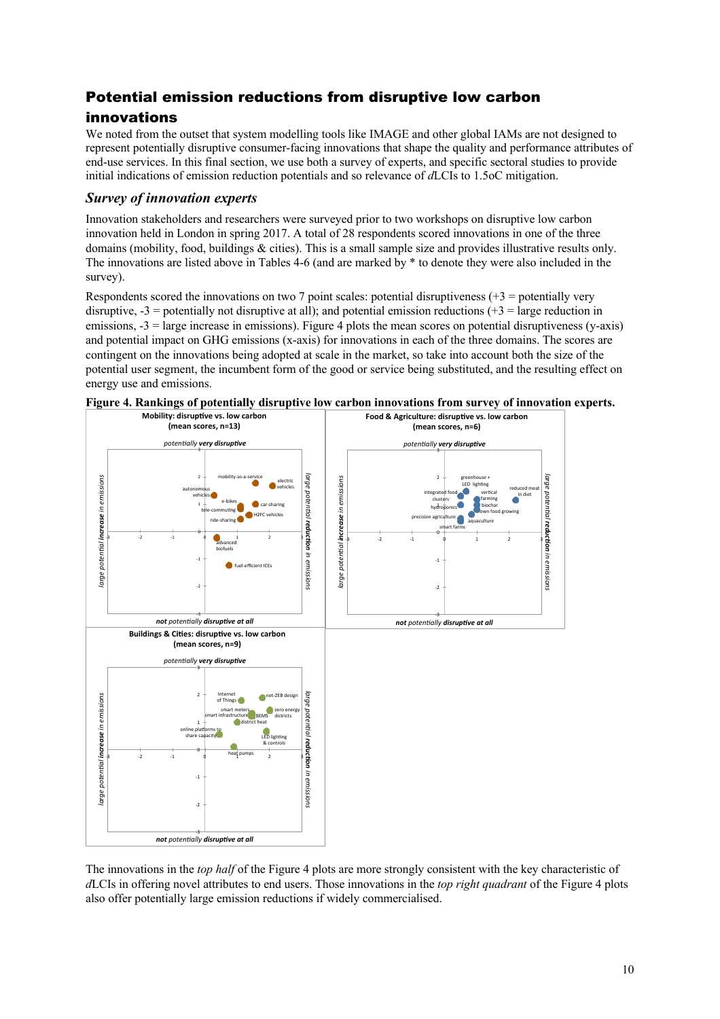## Potential emission reductions from disruptive low carbon

## innovations

We noted from the outset that system modelling tools like IMAGE and other global IAMs are not designed to represent potentially disruptive consumer-facing innovations that shape the quality and performance attributes of end-use services. In this final section, we use both a survey of experts, and specific sectoral studies to provide initial indications of emission reduction potentials and so relevance of *d*LCIs to 1.5oC mitigation.

### *Survey of innovation experts*

Innovation stakeholders and researchers were surveyed prior to two workshops on disruptive low carbon innovation held in London in spring 2017. A total of 28 respondents scored innovations in one of the three domains (mobility, food, buildings & cities). This is a small sample size and provides illustrative results only. The innovations are listed above in Tables 4-6 (and are marked by \* to denote they were also included in the survey).

Respondents scored the innovations on two 7 point scales: potential disruptiveness  $(+3 =$  potentially very disruptive,  $-3$  = potentially not disruptive at all); and potential emission reductions ( $+3$  = large reduction in emissions,  $-3$  = large increase in emissions). Figure 4 plots the mean scores on potential disruptiveness (y-axis) and potential impact on GHG emissions (x-axis) for innovations in each of the three domains. The scores are contingent on the innovations being adopted at scale in the market, so take into account both the size of the potential user segment, the incumbent form of the good or service being substituted, and the resulting effect on energy use and emissions.





The innovations in the *top half* of the Figure 4 plots are more strongly consistent with the key characteristic of *d*LCIs in offering novel attributes to end users. Those innovations in the *top right quadrant* of the Figure 4 plots also offer potentially large emission reductions if widely commercialised.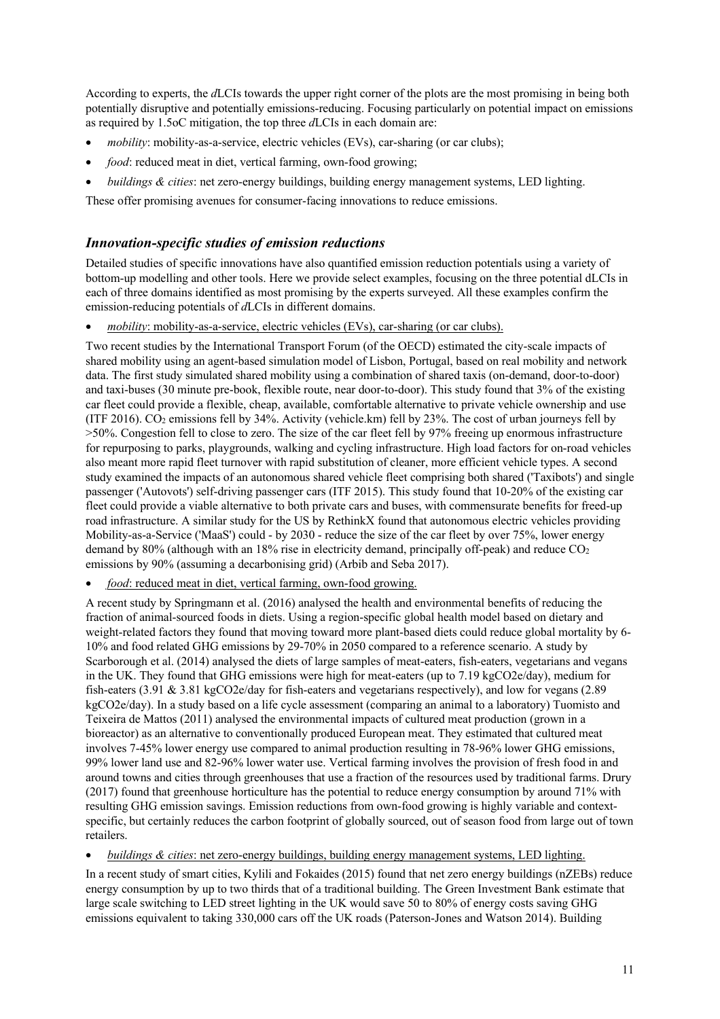According to experts, the *d*LCIs towards the upper right corner of the plots are the most promising in being both potentially disruptive and potentially emissions-reducing. Focusing particularly on potential impact on emissions as required by 1.5oC mitigation, the top three *d*LCIs in each domain are:

- *mobility*: mobility-as-a-service, electric vehicles (EVs), car-sharing (or car clubs);
- *food*: reduced meat in diet, vertical farming, own-food growing;
- *buildings & cities*: net zero-energy buildings, building energy management systems, LED lighting.

These offer promising avenues for consumer-facing innovations to reduce emissions.

#### *Innovation-specific studies of emission reductions*

Detailed studies of specific innovations have also quantified emission reduction potentials using a variety of bottom-up modelling and other tools. Here we provide select examples, focusing on the three potential dLCIs in each of three domains identified as most promising by the experts surveyed. All these examples confirm the emission-reducing potentials of *d*LCIs in different domains.

• *mobility*: mobility-as-a-service, electric vehicles (EVs), car-sharing (or car clubs).

Two recent studies by the International Transport Forum (of the OECD) estimated the city-scale impacts of shared mobility using an agent-based simulation model of Lisbon, Portugal, based on real mobility and network data. The first study simulated shared mobility using a combination of shared taxis (on-demand, door-to-door) and taxi-buses (30 minute pre-book, flexible route, near door-to-door). This study found that 3% of the existing car fleet could provide a flexible, cheap, available, comfortable alternative to private vehicle ownership and use (ITF 2016). CO2 emissions fell by 34%. Activity (vehicle.km) fell by 23%. The cost of urban journeys fell by >50%. Congestion fell to close to zero. The size of the car fleet fell by 97% freeing up enormous infrastructure for repurposing to parks, playgrounds, walking and cycling infrastructure. High load factors for on-road vehicles also meant more rapid fleet turnover with rapid substitution of cleaner, more efficient vehicle types. A second study examined the impacts of an autonomous shared vehicle fleet comprising both shared ('Taxibots') and single passenger ('Autovots') self-driving passenger cars (ITF 2015). This study found that 10-20% of the existing car fleet could provide a viable alternative to both private cars and buses, with commensurate benefits for freed-up road infrastructure. A similar study for the US by RethinkX found that autonomous electric vehicles providing Mobility-as-a-Service ('MaaS') could - by 2030 - reduce the size of the car fleet by over 75%, lower energy demand by 80% (although with an 18% rise in electricity demand, principally off-peak) and reduce CO<sub>2</sub> emissions by 90% (assuming a decarbonising grid) (Arbib and Seba 2017).

• *food*: reduced meat in diet, vertical farming, own-food growing.

A recent study by Springmann et al. (2016) analysed the health and environmental benefits of reducing the fraction of animal-sourced foods in diets. Using a region-specific global health model based on dietary and weight-related factors they found that moving toward more plant-based diets could reduce global mortality by 6- 10% and food related GHG emissions by 29-70% in 2050 compared to a reference scenario. A study by Scarborough et al. (2014) analysed the diets of large samples of meat-eaters, fish-eaters, vegetarians and vegans in the UK. They found that GHG emissions were high for meat-eaters (up to 7.19 kgCO2e/day), medium for fish-eaters (3.91 & 3.81 kgCO2e/day for fish-eaters and vegetarians respectively), and low for vegans (2.89 kgCO2e/day). In a study based on a life cycle assessment (comparing an animal to a laboratory) Tuomisto and Teixeira de Mattos (2011) analysed the environmental impacts of cultured meat production (grown in a bioreactor) as an alternative to conventionally produced European meat. They estimated that cultured meat involves 7-45% lower energy use compared to animal production resulting in 78-96% lower GHG emissions, 99% lower land use and 82-96% lower water use. Vertical farming involves the provision of fresh food in and around towns and cities through greenhouses that use a fraction of the resources used by traditional farms. Drury (2017) found that greenhouse horticulture has the potential to reduce energy consumption by around 71% with resulting GHG emission savings. Emission reductions from own-food growing is highly variable and contextspecific, but certainly reduces the carbon footprint of globally sourced, out of season food from large out of town retailers.

• *buildings & cities*: net zero-energy buildings, building energy management systems, LED lighting.

In a recent study of smart cities, Kylili and Fokaides (2015) found that net zero energy buildings (nZEBs) reduce energy consumption by up to two thirds that of a traditional building. The Green Investment Bank estimate that large scale switching to LED street lighting in the UK would save 50 to 80% of energy costs saving GHG emissions equivalent to taking 330,000 cars off the UK roads (Paterson-Jones and Watson 2014). Building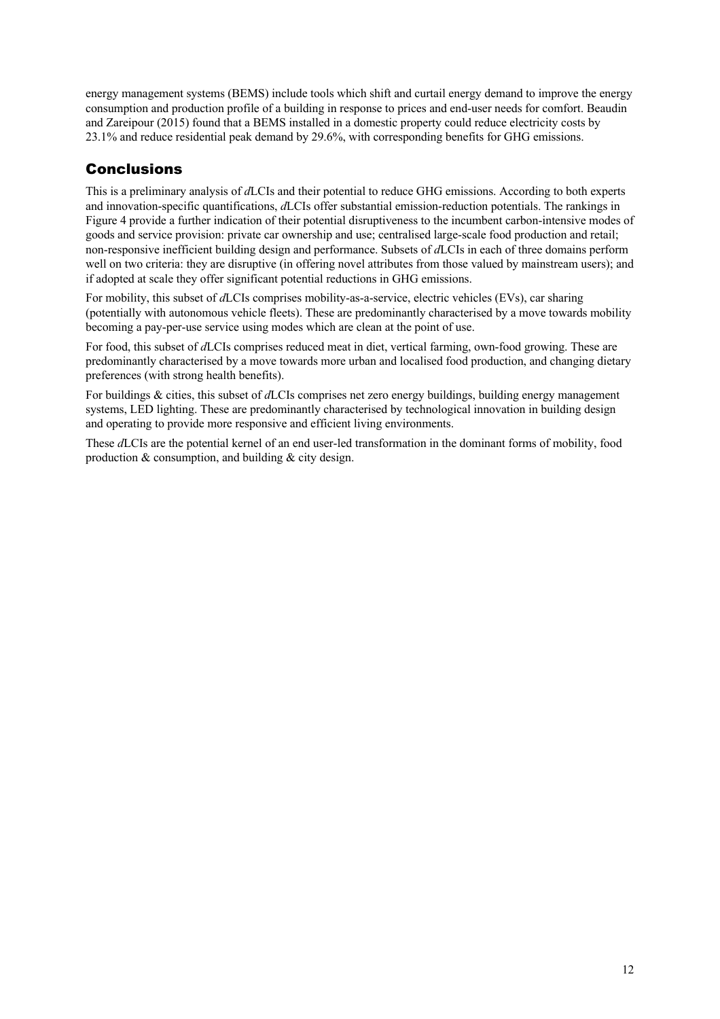energy management systems (BEMS) include tools which shift and curtail energy demand to improve the energy consumption and production profile of a building in response to prices and end-user needs for comfort. Beaudin and Zareipour (2015) found that a BEMS installed in a domestic property could reduce electricity costs by 23.1% and reduce residential peak demand by 29.6%, with corresponding benefits for GHG emissions.

## **Conclusions**

This is a preliminary analysis of *d*LCIs and their potential to reduce GHG emissions. According to both experts and innovation-specific quantifications, *d*LCIs offer substantial emission-reduction potentials. The rankings in Figure 4 provide a further indication of their potential disruptiveness to the incumbent carbon-intensive modes of goods and service provision: private car ownership and use; centralised large-scale food production and retail; non-responsive inefficient building design and performance. Subsets of *d*LCIs in each of three domains perform well on two criteria: they are disruptive (in offering novel attributes from those valued by mainstream users); and if adopted at scale they offer significant potential reductions in GHG emissions.

For mobility, this subset of *d*LCIs comprises mobility-as-a-service, electric vehicles (EVs), car sharing (potentially with autonomous vehicle fleets). These are predominantly characterised by a move towards mobility becoming a pay-per-use service using modes which are clean at the point of use.

For food, this subset of *d*LCIs comprises reduced meat in diet, vertical farming, own-food growing. These are predominantly characterised by a move towards more urban and localised food production, and changing dietary preferences (with strong health benefits).

For buildings & cities, this subset of *d*LCIs comprises net zero energy buildings, building energy management systems, LED lighting. These are predominantly characterised by technological innovation in building design and operating to provide more responsive and efficient living environments.

These *d*LCIs are the potential kernel of an end user-led transformation in the dominant forms of mobility, food production & consumption, and building & city design.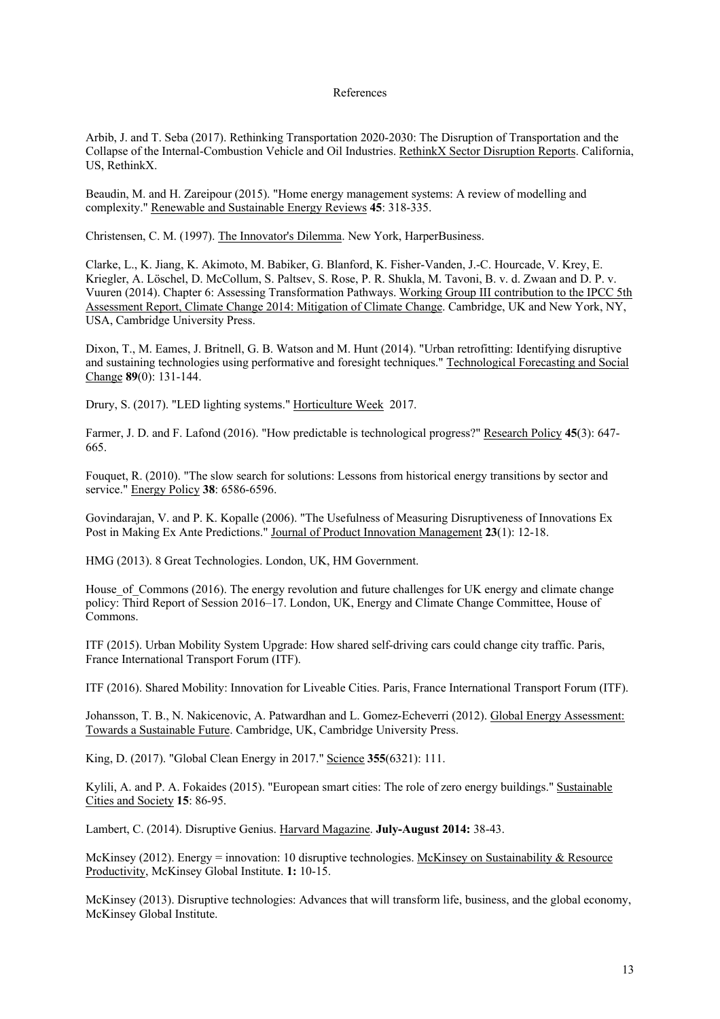#### References

Arbib, J. and T. Seba (2017). Rethinking Transportation 2020-2030: The Disruption of Transportation and the Collapse of the Internal-Combustion Vehicle and Oil Industries. RethinkX Sector Disruption Reports. California, US, RethinkX.

Beaudin, M. and H. Zareipour (2015). "Home energy management systems: A review of modelling and complexity." Renewable and Sustainable Energy Reviews **45**: 318-335.

Christensen, C. M. (1997). The Innovator's Dilemma. New York, HarperBusiness.

Clarke, L., K. Jiang, K. Akimoto, M. Babiker, G. Blanford, K. Fisher-Vanden, J.-C. Hourcade, V. Krey, E. Kriegler, A. Löschel, D. McCollum, S. Paltsev, S. Rose, P. R. Shukla, M. Tavoni, B. v. d. Zwaan and D. P. v. Vuuren (2014). Chapter 6: Assessing Transformation Pathways. Working Group III contribution to the IPCC 5th Assessment Report, Climate Change 2014: Mitigation of Climate Change. Cambridge, UK and New York, NY, USA, Cambridge University Press.

Dixon, T., M. Eames, J. Britnell, G. B. Watson and M. Hunt (2014). "Urban retrofitting: Identifying disruptive and sustaining technologies using performative and foresight techniques." Technological Forecasting and Social Change **89**(0): 131-144.

Drury, S. (2017). "LED lighting systems." Horticulture Week 2017.

Farmer, J. D. and F. Lafond (2016). "How predictable is technological progress?" Research Policy **45**(3): 647- 665.

Fouquet, R. (2010). "The slow search for solutions: Lessons from historical energy transitions by sector and service." Energy Policy **38**: 6586-6596.

Govindarajan, V. and P. K. Kopalle (2006). "The Usefulness of Measuring Disruptiveness of Innovations Ex Post in Making Ex Ante Predictions." Journal of Product Innovation Management **23**(1): 12-18.

HMG (2013). 8 Great Technologies. London, UK, HM Government.

House of Commons (2016). The energy revolution and future challenges for UK energy and climate change policy: Third Report of Session 2016–17. London, UK, Energy and Climate Change Committee, House of Commons.

ITF (2015). Urban Mobility System Upgrade: How shared self-driving cars could change city traffic. Paris, France International Transport Forum (ITF).

ITF (2016). Shared Mobility: Innovation for Liveable Cities. Paris, France International Transport Forum (ITF).

Johansson, T. B., N. Nakicenovic, A. Patwardhan and L. Gomez-Echeverri (2012). Global Energy Assessment: Towards a Sustainable Future. Cambridge, UK, Cambridge University Press.

King, D. (2017). "Global Clean Energy in 2017." Science **355**(6321): 111.

Kylili, A. and P. A. Fokaides (2015). "European smart cities: The role of zero energy buildings." Sustainable Cities and Society **15**: 86-95.

Lambert, C. (2014). Disruptive Genius. Harvard Magazine. **July-August 2014:** 38-43.

McKinsey (2012). Energy = innovation: 10 disruptive technologies. McKinsey on Sustainability & Resource Productivity, McKinsey Global Institute. **1:** 10-15.

McKinsey (2013). Disruptive technologies: Advances that will transform life, business, and the global economy, McKinsey Global Institute.